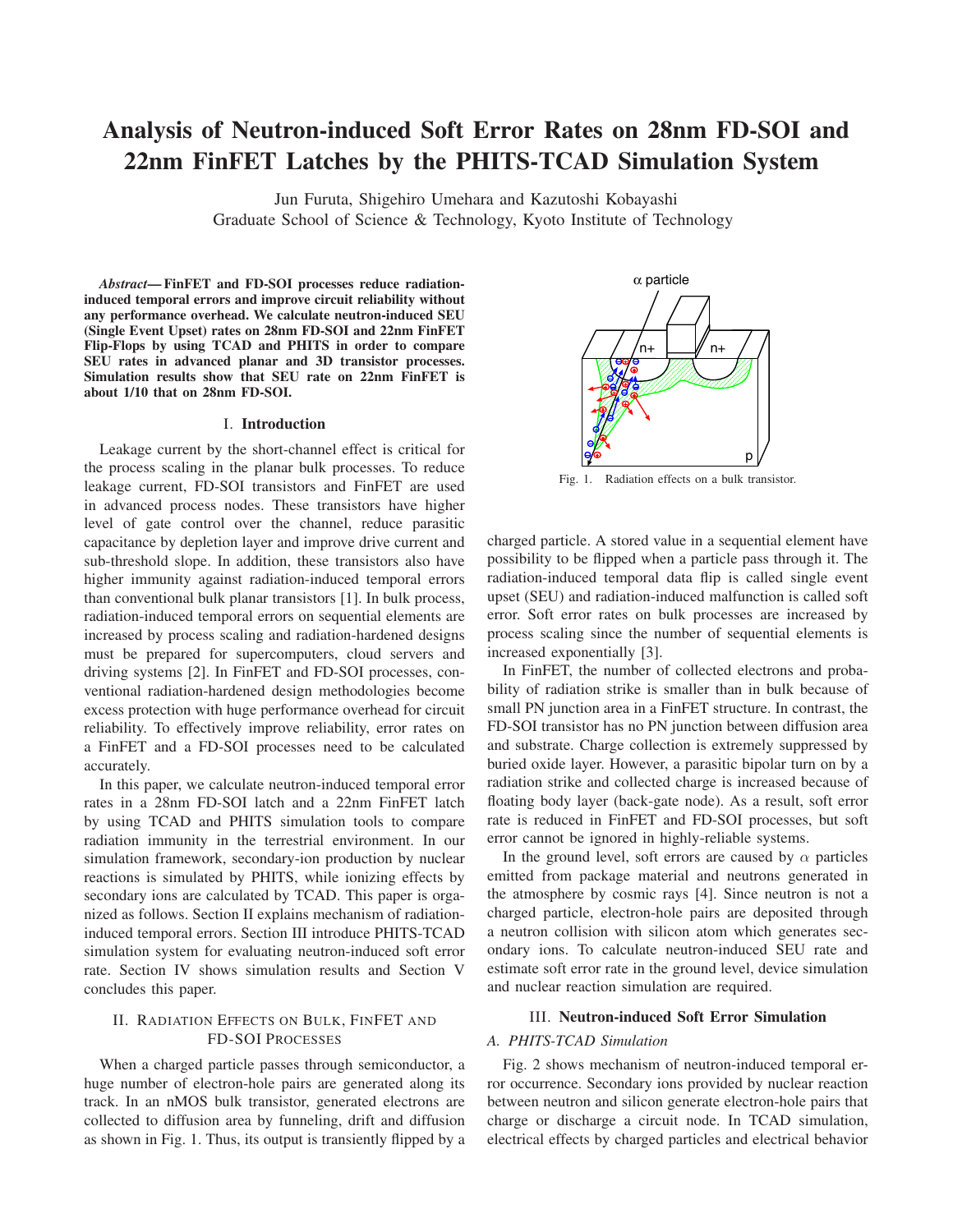# **Analysis of Neutron-induced Soft Error Rates on 28nm FD-SOI and 22nm FinFET Latches by the PHITS-TCAD Simulation System**

Jun Furuta, Shigehiro Umehara and Kazutoshi Kobayashi

Graduate School of Science & Technology, Kyoto Institute of Technology

*Abstract***— FinFET and FD-SOI processes reduce radiationinduced temporal errors and improve circuit reliability without any performance overhead. We calculate neutron-induced SEU (Single Event Upset) rates on 28nm FD-SOI and 22nm FinFET Flip-Flops by using TCAD and PHITS in order to compare SEU rates in advanced planar and 3D transistor processes. Simulation results show that SEU rate on 22nm FinFET is about 1/10 that on 28nm FD-SOI.**

### I. **Introduction**

Leakage current by the short-channel effect is critical for the process scaling in the planar bulk processes. To reduce leakage current, FD-SOI transistors and FinFET are used in advanced process nodes. These transistors have higher level of gate control over the channel, reduce parasitic capacitance by depletion layer and improve drive current and sub-threshold slope. In addition, these transistors also have higher immunity against radiation-induced temporal errors than conventional bulk planar transistors [1]. In bulk process, radiation-induced temporal errors on sequential elements are increased by process scaling and radiation-hardened designs must be prepared for supercomputers, cloud servers and driving systems [2]. In FinFET and FD-SOI processes, conventional radiation-hardened design methodologies become excess protection with huge performance overhead for circuit reliability. To effectively improve reliability, error rates on a FinFET and a FD-SOI processes need to be calculated accurately.

In this paper, we calculate neutron-induced temporal error rates in a 28nm FD-SOI latch and a 22nm FinFET latch by using TCAD and PHITS simulation tools to compare radiation immunity in the terrestrial environment. In our simulation framework, secondary-ion production by nuclear reactions is simulated by PHITS, while ionizing effects by secondary ions are calculated by TCAD. This paper is organized as follows. Section II explains mechanism of radiationinduced temporal errors. Section III introduce PHITS-TCAD simulation system for evaluating neutron-induced soft error rate. Section IV shows simulation results and Section V concludes this paper.

# II. RADIATION EFFECTS ON BULK, FINFET AND FD-SOI PROCESSES

When a charged particle passes through semiconductor, a huge number of electron-hole pairs are generated along its track. In an nMOS bulk transistor, generated electrons are collected to diffusion area by funneling, drift and diffusion as shown in Fig. 1. Thus, its output is transiently flipped by a



Fig. 1. Radiation effects on a bulk transistor.

charged particle. A stored value in a sequential element have possibility to be flipped when a particle pass through it. The radiation-induced temporal data flip is called single event upset (SEU) and radiation-induced malfunction is called soft error. Soft error rates on bulk processes are increased by process scaling since the number of sequential elements is increased exponentially [3].

In FinFET, the number of collected electrons and probability of radiation strike is smaller than in bulk because of small PN junction area in a FinFET structure. In contrast, the FD-SOI transistor has no PN junction between diffusion area and substrate. Charge collection is extremely suppressed by buried oxide layer. However, a parasitic bipolar turn on by a radiation strike and collected charge is increased because of floating body layer (back-gate node). As a result, soft error rate is reduced in FinFET and FD-SOI processes, but soft error cannot be ignored in highly-reliable systems.

In the ground level, soft errors are caused by  $\alpha$  particles emitted from package material and neutrons generated in the atmosphere by cosmic rays [4]. Since neutron is not a charged particle, electron-hole pairs are deposited through a neutron collision with silicon atom which generates secondary ions. To calculate neutron-induced SEU rate and estimate soft error rate in the ground level, device simulation and nuclear reaction simulation are required.

# III. **Neutron-induced Soft Error Simulation**

# *A. PHITS-TCAD Simulation*

Fig. 2 shows mechanism of neutron-induced temporal error occurrence. Secondary ions provided by nuclear reaction between neutron and silicon generate electron-hole pairs that charge or discharge a circuit node. In TCAD simulation, electrical effects by charged particles and electrical behavior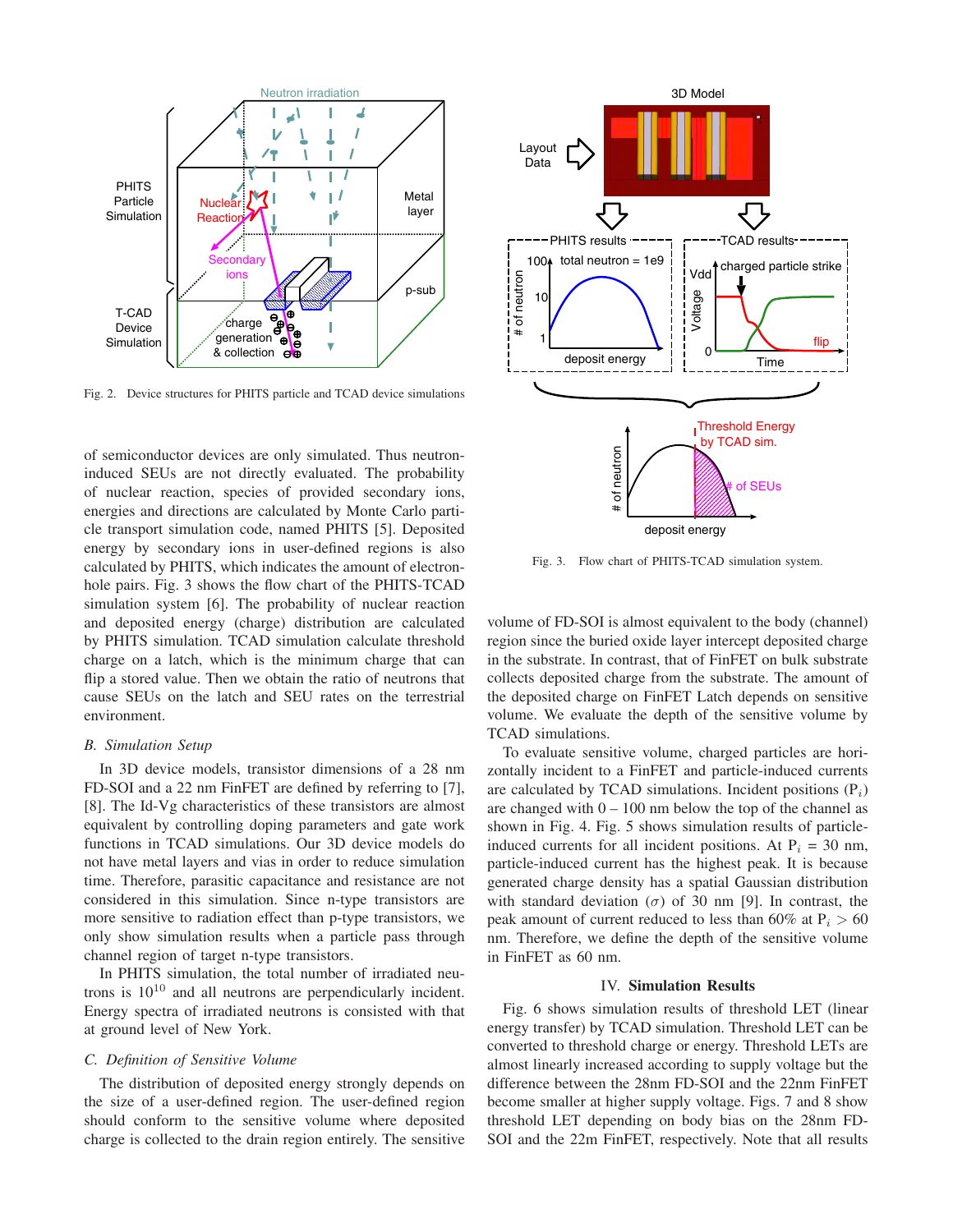

Fig. 2. Device structures for PHITS particle and TCAD device simulations

of semiconductor devices are only simulated. Thus neutroninduced SEUs are not directly evaluated. The probability of nuclear reaction, species of provided secondary ions, energies and directions are calculated by Monte Carlo particle transport simulation code, named PHITS [5]. Deposited energy by secondary ions in user-defined regions is also calculated by PHITS, which indicates the amount of electronhole pairs. Fig. 3 shows the flow chart of the PHITS-TCAD simulation system [6]. The probability of nuclear reaction and deposited energy (charge) distribution are calculated by PHITS simulation. TCAD simulation calculate threshold charge on a latch, which is the minimum charge that can flip a stored value. Then we obtain the ratio of neutrons that cause SEUs on the latch and SEU rates on the terrestrial environment.

## *B. Simulation Setup*

In 3D device models, transistor dimensions of a 28 nm FD-SOI and a 22 nm FinFET are defined by referring to [7], [8]. The Id-Vg characteristics of these transistors are almost equivalent by controlling doping parameters and gate work functions in TCAD simulations. Our 3D device models do not have metal layers and vias in order to reduce simulation time. Therefore, parasitic capacitance and resistance are not considered in this simulation. Since n-type transistors are more sensitive to radiation effect than p-type transistors, we only show simulation results when a particle pass through channel region of target n-type transistors.

In PHITS simulation, the total number of irradiated neutrons is  $10^{10}$  and all neutrons are perpendicularly incident. Energy spectra of irradiated neutrons is consisted with that at ground level of New York.

### *C. Definition of Sensitive Volume*

The distribution of deposited energy strongly depends on the size of a user-defined region. The user-defined region should conform to the sensitive volume where deposited charge is collected to the drain region entirely. The sensitive



Fig. 3. Flow chart of PHITS-TCAD simulation system.

volume of FD-SOI is almost equivalent to the body (channel) region since the buried oxide layer intercept deposited charge in the substrate. In contrast, that of FinFET on bulk substrate collects deposited charge from the substrate. The amount of the deposited charge on FinFET Latch depends on sensitive volume. We evaluate the depth of the sensitive volume by TCAD simulations.

To evaluate sensitive volume, charged particles are horizontally incident to a FinFET and particle-induced currents are calculated by TCAD simulations. Incident positions  $(P_i)$ are changed with  $0 - 100$  nm below the top of the channel as shown in Fig. 4. Fig. 5 shows simulation results of particleinduced currents for all incident positions. At  $P_i = 30$  nm, particle-induced current has the highest peak. It is because generated charge density has a spatial Gaussian distribution with standard deviation ( $\sigma$ ) of 30 nm [9]. In contrast, the peak amount of current reduced to less than 60% at  $P_i > 60$ nm. Therefore, we define the depth of the sensitive volume in FinFET as 60 nm.

#### IV. **Simulation Results**

Fig. 6 shows simulation results of threshold LET (linear energy transfer) by TCAD simulation. Threshold LET can be converted to threshold charge or energy. Threshold LETs are almost linearly increased according to supply voltage but the difference between the 28nm FD-SOI and the 22nm FinFET become smaller at higher supply voltage. Figs. 7 and 8 show threshold LET depending on body bias on the 28nm FD-SOI and the 22m FinFET, respectively. Note that all results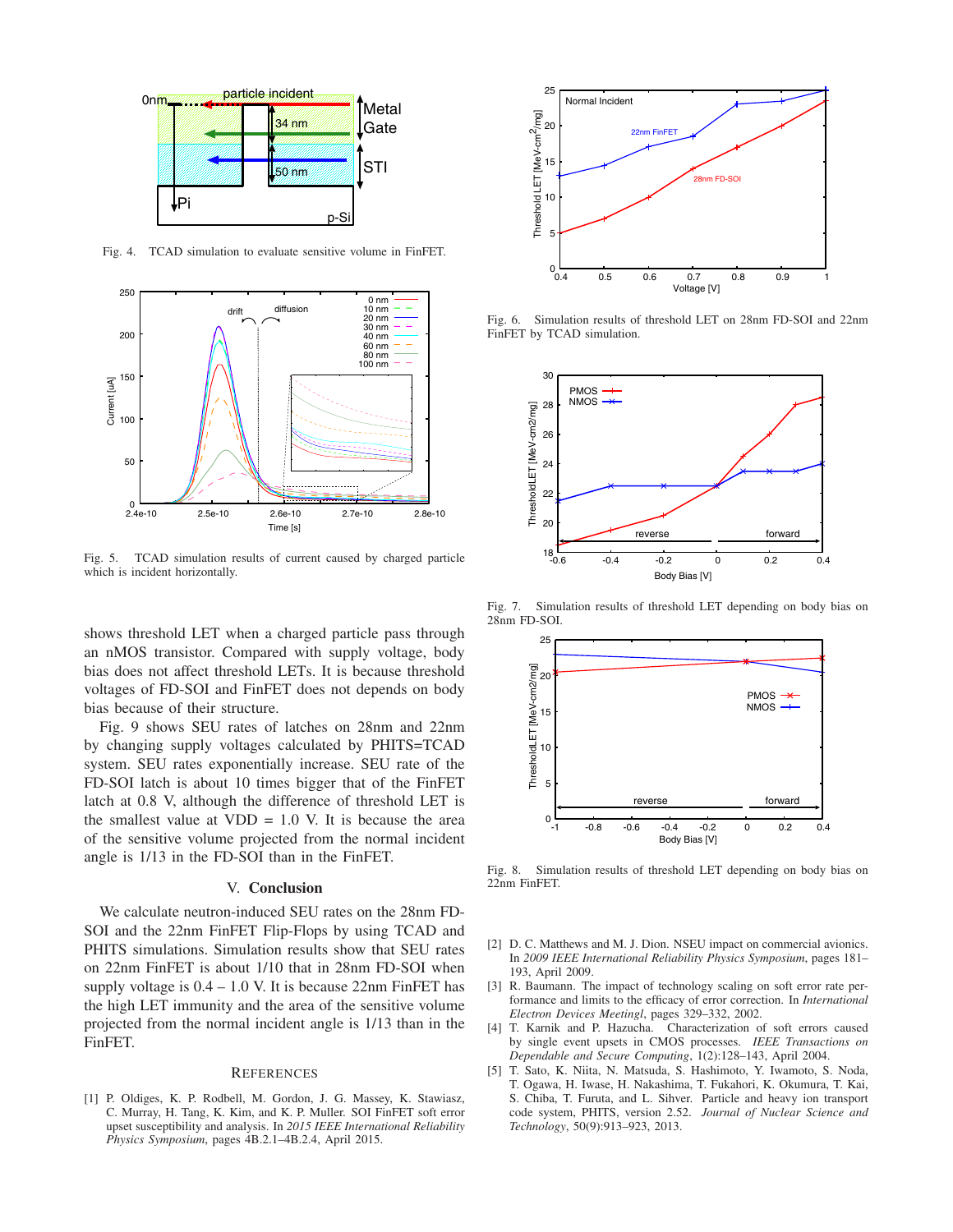

Fig. 4. TCAD simulation to evaluate sensitive volume in FinFET.



Fig. 5. TCAD simulation results of current caused by charged particle which is incident horizontally.

shows threshold LET when a charged particle pass through an nMOS transistor. Compared with supply voltage, body bias does not affect threshold LETs. It is because threshold voltages of FD-SOI and FinFET does not depends on body bias because of their structure.

Fig. 9 shows SEU rates of latches on 28nm and 22nm by changing supply voltages calculated by PHITS=TCAD system. SEU rates exponentially increase. SEU rate of the FD-SOI latch is about 10 times bigger that of the FinFET latch at 0.8 V, although the difference of threshold LET is the smallest value at  $VDD = 1.0$  V. It is because the area of the sensitive volume projected from the normal incident angle is 1/13 in the FD-SOI than in the FinFET.

#### V. **Conclusion**

We calculate neutron-induced SEU rates on the 28nm FD-SOI and the 22nm FinFET Flip-Flops by using TCAD and PHITS simulations. Simulation results show that SEU rates on 22nm FinFET is about 1/10 that in 28nm FD-SOI when supply voltage is  $0.4 - 1.0$  V. It is because 22nm FinFET has the high LET immunity and the area of the sensitive volume projected from the normal incident angle is 1/13 than in the FinFET.

#### **REFERENCES**

[1] P. Oldiges, K. P. Rodbell, M. Gordon, J. G. Massey, K. Stawiasz, C. Murray, H. Tang, K. Kim, and K. P. Muller. SOI FinFET soft error upset susceptibility and analysis. In *2015 IEEE International Reliability Physics Symposium*, pages 4B.2.1–4B.2.4, April 2015.



Fig. 6. Simulation results of threshold LET on 28nm FD-SOI and 22nm FinFET by TCAD simulation.



Fig. 7. Simulation results of threshold LET depending on body bias on 28nm FD-SOI.



Fig. 8. Simulation results of threshold LET depending on body bias on 22nm FinFET.

- [2] D. C. Matthews and M. J. Dion. NSEU impact on commercial avionics. In *2009 IEEE International Reliability Physics Symposium*, pages 181– 193, April 2009.
- [3] R. Baumann. The impact of technology scaling on soft error rate performance and limits to the efficacy of error correction. In *International Electron Devices Meetingl*, pages 329–332, 2002.
- [4] T. Karnik and P. Hazucha. Characterization of soft errors caused by single event upsets in CMOS processes. *IEEE Transactions on Dependable and Secure Computing*, 1(2):128–143, April 2004.
- [5] T. Sato, K. Niita, N. Matsuda, S. Hashimoto, Y. Iwamoto, S. Noda, T. Ogawa, H. Iwase, H. Nakashima, T. Fukahori, K. Okumura, T. Kai, S. Chiba, T. Furuta, and L. Sihver. Particle and heavy ion transport code system, PHITS, version 2.52. *Journal of Nuclear Science and Technology*, 50(9):913–923, 2013.